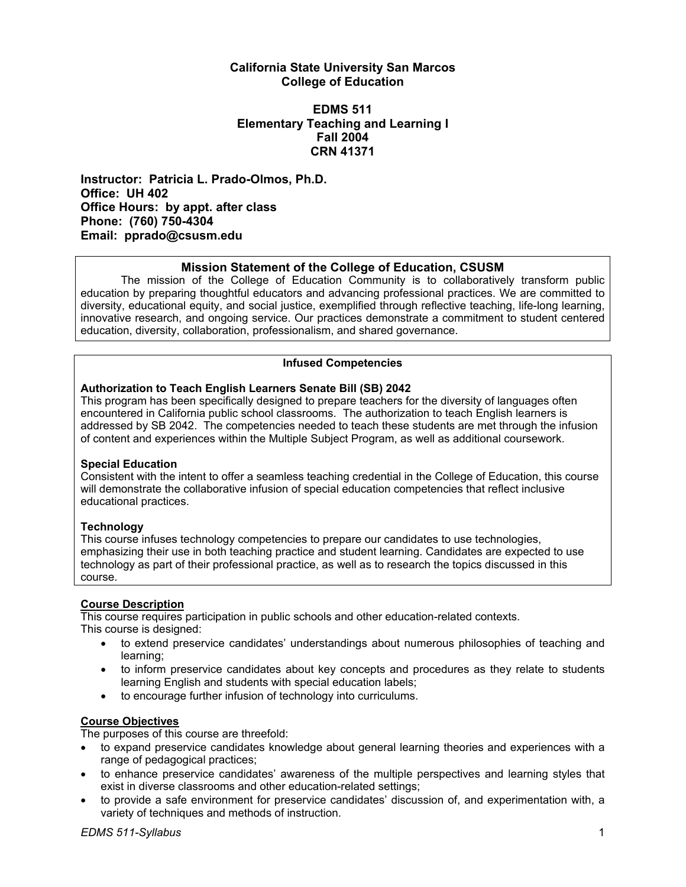## **California State University San Marcos College of Education**

## **EDMS 511 Elementary Teaching and Learning I Fall 2004 CRN 41371**

**Instructor: Patricia L. Prado-Olmos, Ph.D. Office: UH 402 Office Hours: by appt. after class Phone: (760) 750-4304 Email: pprado@csusm.edu** 

## **Mission Statement of the College of Education, CSUSM**

The mission of the College of Education Community is to collaboratively transform public education by preparing thoughtful educators and advancing professional practices. We are committed to diversity, educational equity, and social justice, exemplified through reflective teaching, life-long learning, innovative research, and ongoing service. Our practices demonstrate a commitment to student centered education, diversity, collaboration, professionalism, and shared governance.

### **Infused Competencies**

### **Authorization to Teach English Learners Senate Bill (SB) 2042**

This program has been specifically designed to prepare teachers for the diversity of languages often encountered in California public school classrooms. The authorization to teach English learners is addressed by SB 2042. The competencies needed to teach these students are met through the infusion of content and experiences within the Multiple Subject Program, as well as additional coursework.

#### **Special Education**

Consistent with the intent to offer a seamless teaching credential in the College of Education, this course will demonstrate the collaborative infusion of special education competencies that reflect inclusive educational practices.

## **Technology**

This course infuses technology competencies to prepare our candidates to use technologies, emphasizing their use in both teaching practice and student learning. Candidates are expected to use technology as part of their professional practice, as well as to research the topics discussed in this course.

## **Course Description**

This course requires participation in public schools and other education-related contexts. This course is designed:

- to extend preservice candidates' understandings about numerous philosophies of teaching and learning;
- to inform preservice candidates about key concepts and procedures as they relate to students learning English and students with special education labels;
- to encourage further infusion of technology into curriculums.

#### **Course Objectives**

The purposes of this course are threefold:

- to expand preservice candidates knowledge about general learning theories and experiences with a range of pedagogical practices;
- to enhance preservice candidates' awareness of the multiple perspectives and learning styles that exist in diverse classrooms and other education-related settings;
- to provide a safe environment for preservice candidates' discussion of, and experimentation with, a variety of techniques and methods of instruction.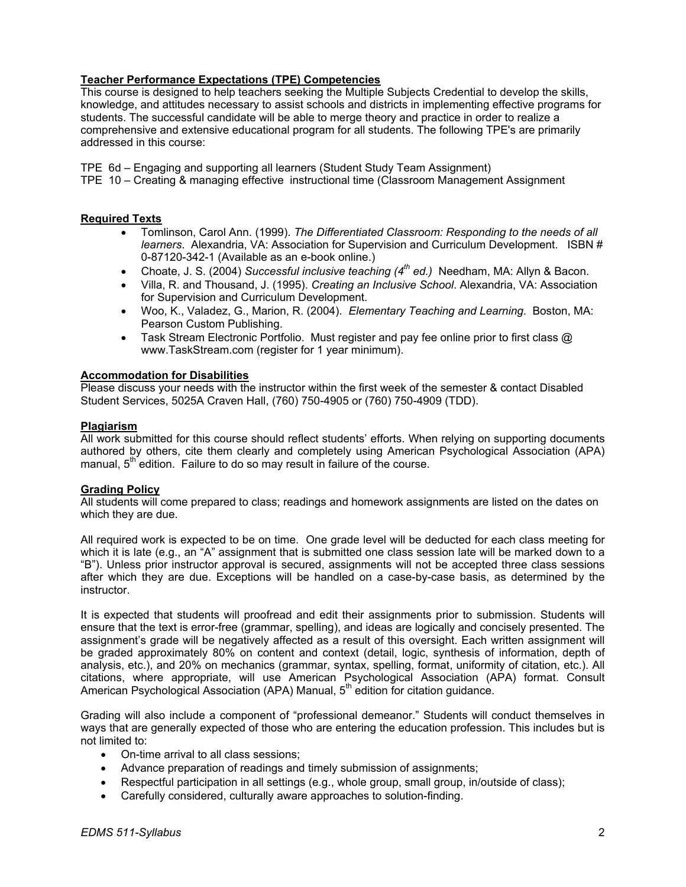## **Teacher Performance Expectations (TPE) Competencies**

This course is designed to help teachers seeking the Multiple Subjects Credential to develop the skills, knowledge, and attitudes necessary to assist schools and districts in implementing effective programs for students. The successful candidate will be able to merge theory and practice in order to realize a comprehensive and extensive educational program for all students. The following TPE's are primarily addressed in this course:

TPE 6d – Engaging and supporting all learners (Student Study Team Assignment)

TPE 10 – Creating & managing effective instructional time (Classroom Management Assignment

### **Required Texts**

- Tomlinson, Carol Ann. (1999). *The Differentiated Classroom: Responding to the needs of all learners*. Alexandria, VA: Association for Supervision and Curriculum Development. ISBN # 0-87120-342-1 (Available as an e-book online.)
- Choate, J. S. (2004) *Successful inclusive teaching (4th ed.)* Needham, MA: Allyn & Bacon.
- Villa, R. and Thousand, J. (1995). *Creating an Inclusive School*. Alexandria, VA: Association for Supervision and Curriculum Development.
- Woo, K., Valadez, G., Marion, R. (2004). *Elementary Teaching and Learning*. Boston, MA: Pearson Custom Publishing.
- Task Stream Electronic Portfolio. Must register and pay fee online prior to first class @ www.TaskStream.com (register for 1 year minimum).

#### **Accommodation for Disabilities**

Please discuss your needs with the instructor within the first week of the semester & contact Disabled Student Services, 5025A Craven Hall, (760) 750-4905 or (760) 750-4909 (TDD).

#### **Plagiarism**

All work submitted for this course should reflect students' efforts. When relying on supporting documents authored by others, cite them clearly and completely using American Psychological Association (APA) manual,  $5<sup>th</sup>$  edition. Failure to do so may result in failure of the course.

#### **Grading Policy**

All students will come prepared to class; readings and homework assignments are listed on the dates on which they are due.

All required work is expected to be on time. One grade level will be deducted for each class meeting for which it is late (e.g., an "A" assignment that is submitted one class session late will be marked down to a "B"). Unless prior instructor approval is secured, assignments will not be accepted three class sessions after which they are due. Exceptions will be handled on a case-by-case basis, as determined by the instructor.

It is expected that students will proofread and edit their assignments prior to submission. Students will ensure that the text is error-free (grammar, spelling), and ideas are logically and concisely presented. The assignment's grade will be negatively affected as a result of this oversight. Each written assignment will be graded approximately 80% on content and context (detail, logic, synthesis of information, depth of analysis, etc.), and 20% on mechanics (grammar, syntax, spelling, format, uniformity of citation, etc.). All citations, where appropriate, will use American Psychological Association (APA) format. Consult American Psychological Association (APA) Manual, 5<sup>th</sup> edition for citation guidance.

Grading will also include a component of "professional demeanor." Students will conduct themselves in ways that are generally expected of those who are entering the education profession. This includes but is not limited to:

- On-time arrival to all class sessions;
- Advance preparation of readings and timely submission of assignments;
- Respectful participation in all settings (e.g., whole group, small group, in/outside of class);
- Carefully considered, culturally aware approaches to solution-finding.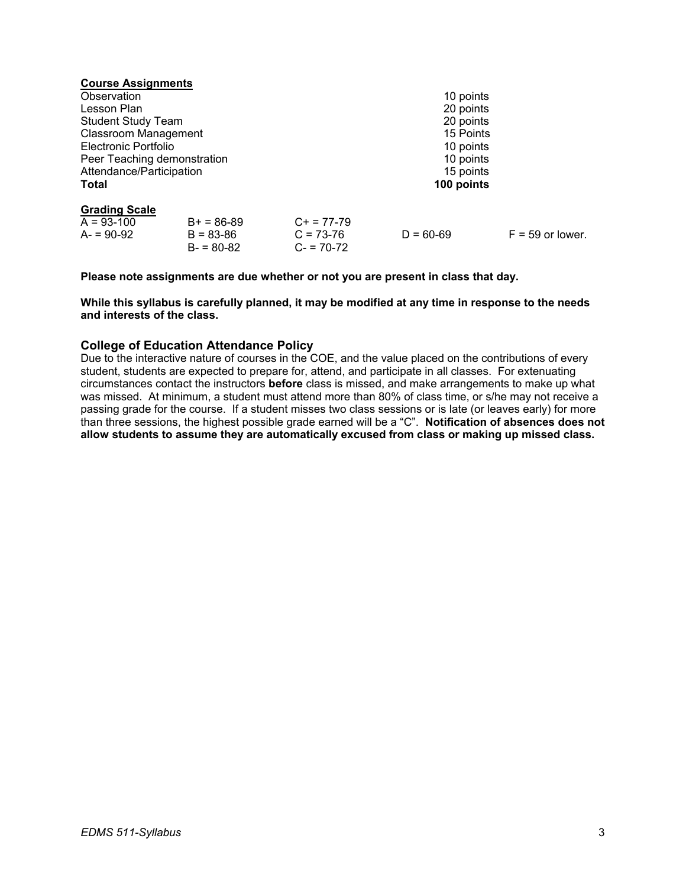| <b>Course Assignments</b>   |              |               |                    |
|-----------------------------|--------------|---------------|--------------------|
|                             |              | 10 points     |                    |
|                             |              | 20 points     |                    |
|                             |              | 20 points     |                    |
| <b>Classroom Management</b> |              | 15 Points     |                    |
|                             |              | 10 points     |                    |
| Peer Teaching demonstration |              | 10 points     |                    |
| Attendance/Participation    |              | 15 points     |                    |
|                             |              | 100 points    |                    |
|                             |              |               |                    |
| $B+ = 86-89$                | $C+ = 77-79$ |               |                    |
| $B = 83 - 86$               | $C = 73-76$  | $D = 60 - 69$ | $F = 59$ or lower. |
| $B - 80 - 82$               | $C = 70-72$  |               |                    |
|                             |              |               |                    |

**Please note assignments are due whether or not you are present in class that day.** 

**While this syllabus is carefully planned, it may be modified at any time in response to the needs and interests of the class.** 

## **College of Education Attendance Policy**

Due to the interactive nature of courses in the COE, and the value placed on the contributions of every student, students are expected to prepare for, attend, and participate in all classes. For extenuating circumstances contact the instructors **before** class is missed, and make arrangements to make up what was missed. At minimum, a student must attend more than 80% of class time, or s/he may not receive a passing grade for the course. If a student misses two class sessions or is late (or leaves early) for more than three sessions, the highest possible grade earned will be a "C". **Notification of absences does not allow students to assume they are automatically excused from class or making up missed class.**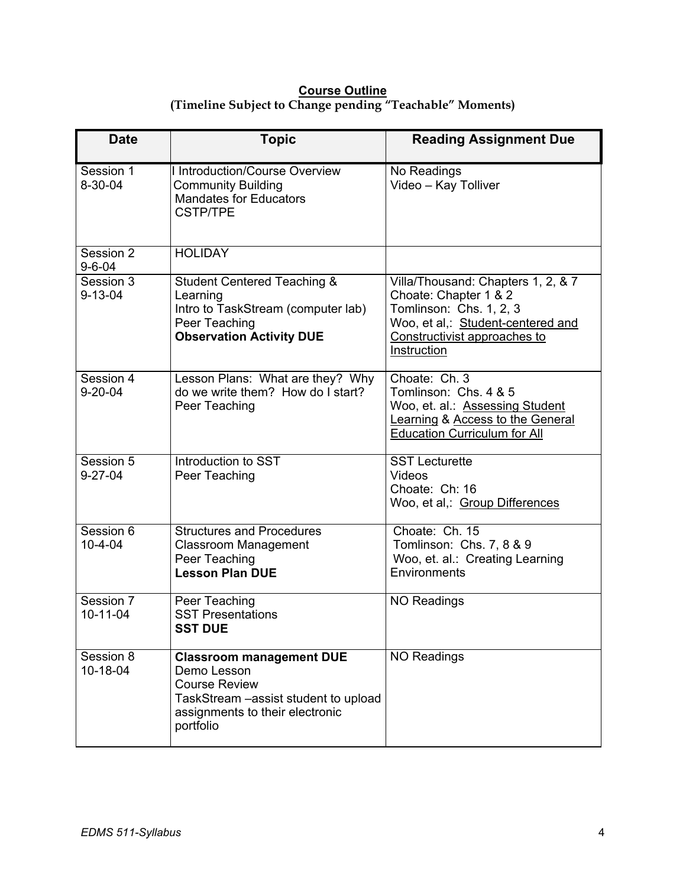## **Course Outline (Timeline Subject to Change pending "Teachable" Moments)**

| <b>Date</b>                 | <b>Topic</b>                                                                                                                                                    | <b>Reading Assignment Due</b>                                                                                                                                              |
|-----------------------------|-----------------------------------------------------------------------------------------------------------------------------------------------------------------|----------------------------------------------------------------------------------------------------------------------------------------------------------------------------|
| Session 1<br>$8 - 30 - 04$  | I Introduction/Course Overview<br><b>Community Building</b><br><b>Mandates for Educators</b><br><b>CSTP/TPE</b>                                                 | No Readings<br>Video - Kay Tolliver                                                                                                                                        |
| Session 2<br>$9 - 6 - 04$   | <b>HOLIDAY</b>                                                                                                                                                  |                                                                                                                                                                            |
| Session 3<br>$9 - 13 - 04$  | <b>Student Centered Teaching &amp;</b><br>Learning<br>Intro to TaskStream (computer lab)<br>Peer Teaching<br><b>Observation Activity DUE</b>                    | Villa/Thousand: Chapters 1, 2, & 7<br>Choate: Chapter 1 & 2<br>Tomlinson: Chs. 1, 2, 3<br>Woo, et al,: Student-centered and<br>Constructivist approaches to<br>Instruction |
| Session 4<br>$9 - 20 - 04$  | Lesson Plans: What are they? Why<br>do we write them? How do I start?<br>Peer Teaching                                                                          | Choate: Ch. 3<br>Tomlinson: Chs. 4 & 5<br>Woo, et. al.: Assessing Student<br><b>Learning &amp; Access to the General</b><br><b>Education Curriculum for All</b>            |
| Session 5<br>$9 - 27 - 04$  | Introduction to SST<br>Peer Teaching                                                                                                                            | <b>SST Lecturette</b><br>Videos<br>Choate: Ch: 16<br>Woo, et al,: Group Differences                                                                                        |
| Session 6<br>$10 - 4 - 04$  | <b>Structures and Procedures</b><br><b>Classroom Management</b><br>Peer Teaching<br><b>Lesson Plan DUE</b>                                                      | Choate: Ch. 15<br>Tomlinson: Chs. 7, 8 & 9<br>Woo, et. al.: Creating Learning<br>Environments                                                                              |
| Session 7<br>$10 - 11 - 04$ | Peer Teaching<br><b>SST Presentations</b><br><b>SST DUE</b>                                                                                                     | <b>NO Readings</b>                                                                                                                                                         |
| Session 8<br>10-18-04       | <b>Classroom management DUE</b><br>Demo Lesson<br><b>Course Review</b><br>TaskStream - assist student to upload<br>assignments to their electronic<br>portfolio | <b>NO Readings</b>                                                                                                                                                         |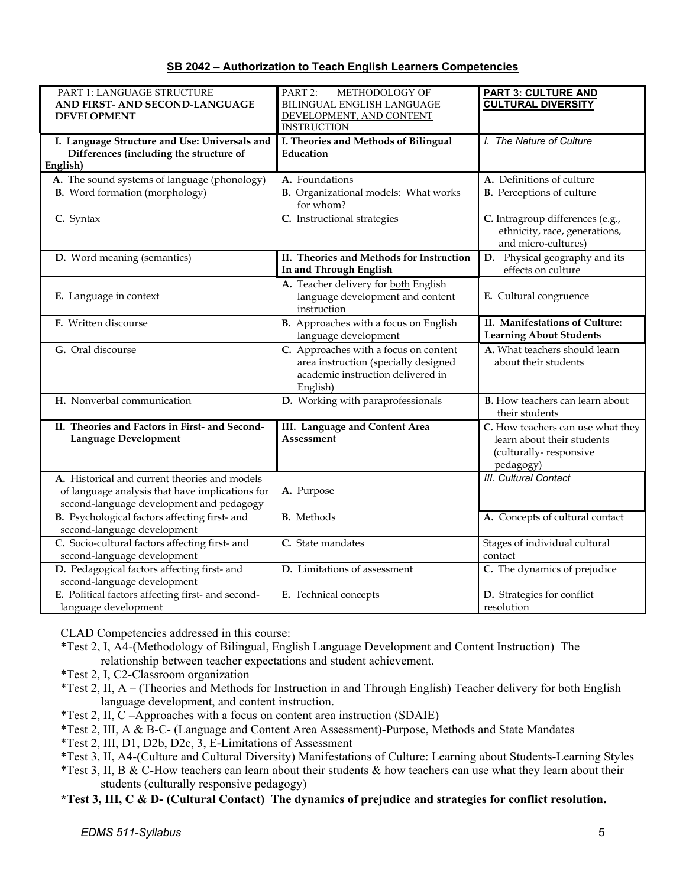|--|

| PART 1: LANGUAGE STRUCTURE<br>AND FIRST- AND SECOND-LANGUAGE                                                                                 | PART 2:<br>METHODOLOGY OF<br><b>BILINGUAL ENGLISH LANGUAGE</b>                                                                 | <b>PART 3: CULTURE AND</b><br><b>CULTURAL DIVERSITY</b>                                                |
|----------------------------------------------------------------------------------------------------------------------------------------------|--------------------------------------------------------------------------------------------------------------------------------|--------------------------------------------------------------------------------------------------------|
| <b>DEVELOPMENT</b>                                                                                                                           | DEVELOPMENT, AND CONTENT<br><b>INSTRUCTION</b>                                                                                 |                                                                                                        |
| I. Language Structure and Use: Universals and<br>Differences (including the structure of<br>English)                                         | I. Theories and Methods of Bilingual<br>Education                                                                              | I. The Nature of Culture                                                                               |
| A. The sound systems of language (phonology)                                                                                                 | A. Foundations                                                                                                                 | A. Definitions of culture                                                                              |
| <b>B.</b> Word formation (morphology)                                                                                                        | <b>B.</b> Organizational models: What works<br>for whom?                                                                       | <b>B.</b> Perceptions of culture                                                                       |
| C. Syntax                                                                                                                                    | C. Instructional strategies                                                                                                    | C. Intragroup differences (e.g.,<br>ethnicity, race, generations,<br>and micro-cultures)               |
| D. Word meaning (semantics)                                                                                                                  | II. Theories and Methods for Instruction<br>In and Through English                                                             | D. Physical geography and its<br>effects on culture                                                    |
| E. Language in context                                                                                                                       | A. Teacher delivery for both English<br>language development and content<br>instruction                                        | E. Cultural congruence                                                                                 |
| F. Written discourse                                                                                                                         | B. Approaches with a focus on English<br>language development                                                                  | II. Manifestations of Culture:<br><b>Learning About Students</b>                                       |
| G. Oral discourse                                                                                                                            | C. Approaches with a focus on content<br>area instruction (specially designed<br>academic instruction delivered in<br>English) | A. What teachers should learn<br>about their students                                                  |
| H. Nonverbal communication                                                                                                                   | D. Working with paraprofessionals                                                                                              | <b>B.</b> How teachers can learn about<br>their students                                               |
| II. Theories and Factors in First- and Second-<br><b>Language Development</b>                                                                | III. Language and Content Area<br><b>Assessment</b>                                                                            | C. How teachers can use what they<br>learn about their students<br>(culturally-responsive<br>pedagogy) |
| A. Historical and current theories and models<br>of language analysis that have implications for<br>second-language development and pedagogy | A. Purpose                                                                                                                     | <b>III.</b> Cultural Contact                                                                           |
| B. Psychological factors affecting first- and<br>second-language development                                                                 | <b>B.</b> Methods                                                                                                              | A. Concepts of cultural contact                                                                        |
| C. Socio-cultural factors affecting first- and<br>second-language development                                                                | C. State mandates                                                                                                              | Stages of individual cultural<br>contact                                                               |
| D. Pedagogical factors affecting first- and<br>second-language development                                                                   | D. Limitations of assessment                                                                                                   | C. The dynamics of prejudice                                                                           |
| E. Political factors affecting first- and second-<br>language development                                                                    | E. Technical concepts                                                                                                          | D. Strategies for conflict<br>resolution                                                               |

CLAD Competencies addressed in this course:

- \*Test 2, I, A4-(Methodology of Bilingual, English Language Development and Content Instruction) The relationship between teacher expectations and student achievement.
- \*Test 2, I, C2-Classroom organization
- \*Test 2, II, A (Theories and Methods for Instruction in and Through English) Teacher delivery for both English language development, and content instruction.
- \*Test 2, II, C –Approaches with a focus on content area instruction (SDAIE)
- \*Test 2, III, A & B-C- (Language and Content Area Assessment)-Purpose, Methods and State Mandates
- \*Test 2, III, D1, D2b, D2c, 3, E-Limitations of Assessment
- \*Test 3, II, A4-(Culture and Cultural Diversity) Manifestations of Culture: Learning about Students-Learning Styles
- \*Test 3, II, B & C-How teachers can learn about their students & how teachers can use what they learn about their students (culturally responsive pedagogy)

**\*Test 3, III, C & D- (Cultural Contact) The dynamics of prejudice and strategies for conflict resolution.**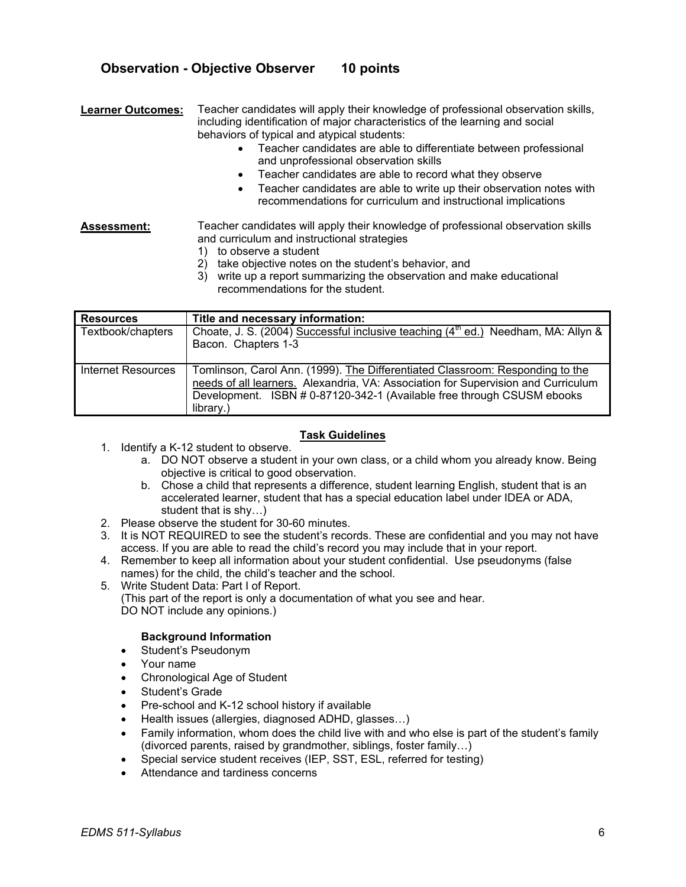## **Observation - Objective Observer 10 points**

**Learner Outcomes:** Teacher candidates will apply their knowledge of professional observation skills, including identification of major characteristics of the learning and social behaviors of typical and atypical students:

- Teacher candidates are able to differentiate between professional and unprofessional observation skills
- Teacher candidates are able to record what they observe
- Teacher candidates are able to write up their observation notes with recommendations for curriculum and instructional implications

**Assessment:** Teacher candidates will apply their knowledge of professional observation skills and curriculum and instructional strategies

- 1) to observe a student
- 2) take objective notes on the student's behavior, and
- 3) write up a report summarizing the observation and make educational recommendations for the student.

| <b>Resources</b>   | Title and necessary information:                                                                                                                                                                                                                          |
|--------------------|-----------------------------------------------------------------------------------------------------------------------------------------------------------------------------------------------------------------------------------------------------------|
| Textbook/chapters  | Choate, J. S. (2004) Successful inclusive teaching $(4^{\text{th}}$ ed.) Needham, MA: Allyn &<br>Bacon. Chapters 1-3                                                                                                                                      |
| Internet Resources | Tomlinson, Carol Ann. (1999). The Differentiated Classroom: Responding to the<br>needs of all learners. Alexandria, VA: Association for Supervision and Curriculum<br>Development. ISBN # 0-87120-342-1 (Available free through CSUSM ebooks<br>library.) |

#### **Task Guidelines**

- 1. Identify a K-12 student to observe.
	- a. DO NOT observe a student in your own class, or a child whom you already know. Being objective is critical to good observation.
	- b. Chose a child that represents a difference, student learning English, student that is an accelerated learner, student that has a special education label under IDEA or ADA, student that is shy…)
- 2. Please observe the student for 30-60 minutes.
- 3. It is NOT REQUIRED to see the student's records. These are confidential and you may not have access. If you are able to read the child's record you may include that in your report.
- 4. Remember to keep all information about your student confidential. Use pseudonyms (false names) for the child, the child's teacher and the school.
- 5. Write Student Data: Part I of Report. (This part of the report is only a documentation of what you see and hear. DO NOT include any opinions.)

#### **Background Information**

- Student's Pseudonym
- Your name
- Chronological Age of Student
- Student's Grade
- Pre-school and K-12 school history if available
- Health issues (allergies, diagnosed ADHD, glasses…)
- Family information, whom does the child live with and who else is part of the student's family (divorced parents, raised by grandmother, siblings, foster family…)
- Special service student receives (IEP, SST, ESL, referred for testing)
- Attendance and tardiness concerns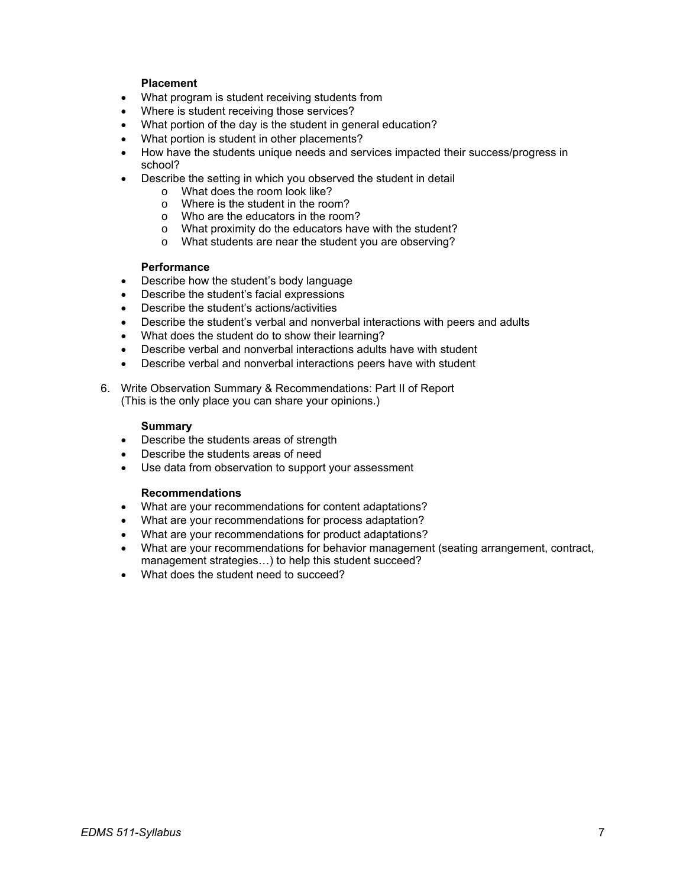### **Placement**

- What program is student receiving students from
- Where is student receiving those services?
- What portion of the day is the student in general education?
- What portion is student in other placements?
- How have the students unique needs and services impacted their success/progress in school?
- Describe the setting in which you observed the student in detail
	- o What does the room look like?
	- o Where is the student in the room?
	- o Who are the educators in the room?
	- o What proximity do the educators have with the student?
	- o What students are near the student you are observing?

#### **Performance**

- Describe how the student's body language
- Describe the student's facial expressions
- Describe the student's actions/activities
- Describe the student's verbal and nonverbal interactions with peers and adults
- What does the student do to show their learning?
- Describe verbal and nonverbal interactions adults have with student
- Describe verbal and nonverbal interactions peers have with student
- 6. Write Observation Summary & Recommendations: Part II of Report (This is the only place you can share your opinions.)

#### **Summary**

- Describe the students areas of strength
- Describe the students areas of need
- Use data from observation to support your assessment

#### **Recommendations**

- What are your recommendations for content adaptations?
- What are your recommendations for process adaptation?
- What are your recommendations for product adaptations?
- What are your recommendations for behavior management (seating arrangement, contract, management strategies…) to help this student succeed?
- What does the student need to succeed?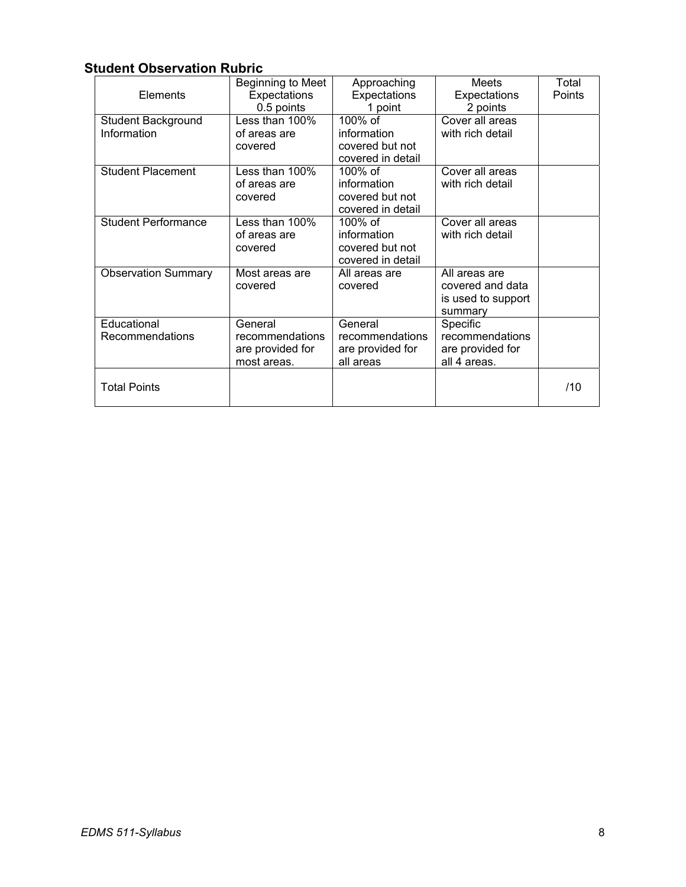# **Student Observation Rubric**

| Elements                          | Beginning to Meet<br>Expectations<br>0.5 points               | Approaching<br>Expectations<br>1 point                         | <b>Meets</b><br>Expectations<br>2 points                           | Total<br>Points |
|-----------------------------------|---------------------------------------------------------------|----------------------------------------------------------------|--------------------------------------------------------------------|-----------------|
| Student Background<br>Information | Less than 100%<br>of areas are<br>covered                     | 100% of<br>information<br>covered but not<br>covered in detail | Cover all areas<br>with rich detail                                |                 |
| <b>Student Placement</b>          | Less than 100%<br>of areas are<br>covered                     | 100% of<br>information<br>covered but not<br>covered in detail | Cover all areas<br>with rich detail                                |                 |
| <b>Student Performance</b>        | Less than 100%<br>of areas are<br>covered                     | 100% of<br>information<br>covered but not<br>covered in detail | Cover all areas<br>with rich detail                                |                 |
| <b>Observation Summary</b>        | Most areas are<br>covered                                     | All areas are<br>covered                                       | All areas are<br>covered and data<br>is used to support<br>summary |                 |
| Educational<br>Recommendations    | General<br>recommendations<br>are provided for<br>most areas. | General<br>recommendations<br>are provided for<br>all areas    | Specific<br>recommendations<br>are provided for<br>all 4 areas.    |                 |
| <b>Total Points</b>               |                                                               |                                                                |                                                                    | /10             |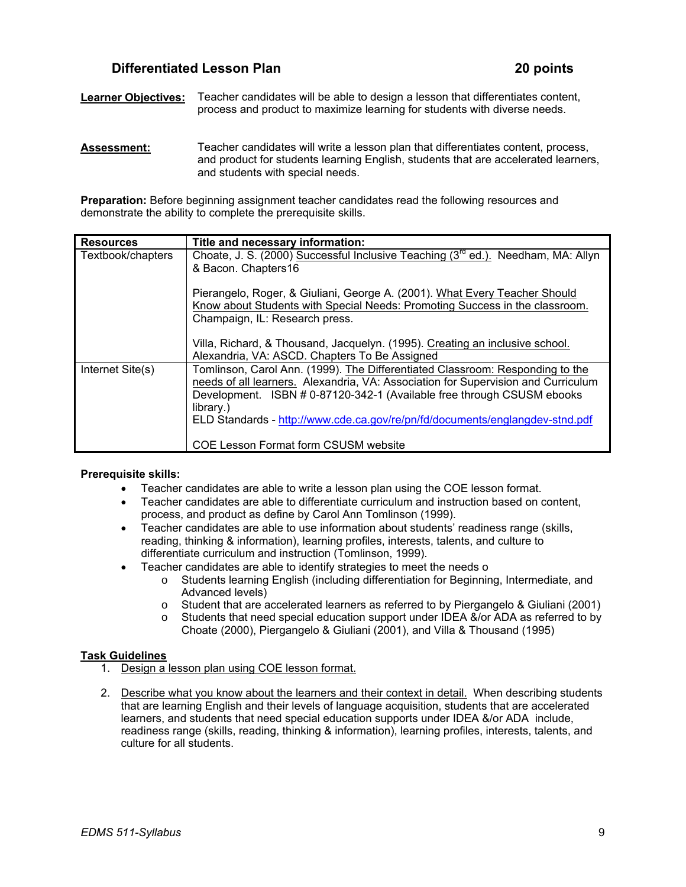## **Differentiated Lesson Plan 20 points** 20 points

**Learner Objectives:** Teacher candidates will be able to design a lesson that differentiates content, process and product to maximize learning for students with diverse needs.

**Assessment:** Teacher candidates will write a lesson plan that differentiates content, process, and product for students learning English, students that are accelerated learners, and students with special needs.

**Preparation:** Before beginning assignment teacher candidates read the following resources and demonstrate the ability to complete the prerequisite skills.

| <b>Resources</b>  | Title and necessary information:                                                             |
|-------------------|----------------------------------------------------------------------------------------------|
| Textbook/chapters | Choate, J. S. (2000) Successful Inclusive Teaching (3 <sup>rd</sup> ed.). Needham, MA: Allyn |
|                   | & Bacon. Chapters16                                                                          |
|                   | Pierangelo, Roger, & Giuliani, George A. (2001). What Every Teacher Should                   |
|                   | Know about Students with Special Needs: Promoting Success in the classroom.                  |
|                   | Champaign, IL: Research press.                                                               |
|                   | Villa, Richard, & Thousand, Jacquelyn. (1995). Creating an inclusive school.                 |
|                   | Alexandria, VA: ASCD. Chapters To Be Assigned                                                |
| Internet Site(s)  | Tomlinson, Carol Ann. (1999). The Differentiated Classroom: Responding to the                |
|                   | needs of all learners. Alexandria, VA: Association for Supervision and Curriculum            |
|                   | Development. ISBN # 0-87120-342-1 (Available free through CSUSM ebooks                       |
|                   | library.)                                                                                    |
|                   | ELD Standards - http://www.cde.ca.gov/re/pn/fd/documents/englangdev-stnd.pdf                 |
|                   | <b>COE Lesson Format form CSUSM website</b>                                                  |

#### **Prerequisite skills:**

- Teacher candidates are able to write a lesson plan using the COE lesson format.
- Teacher candidates are able to differentiate curriculum and instruction based on content, process, and product as define by Carol Ann Tomlinson (1999).
- Teacher candidates are able to use information about students' readiness range (skills, reading, thinking & information), learning profiles, interests, talents, and culture to differentiate curriculum and instruction (Tomlinson, 1999).
- Teacher candidates are able to identify strategies to meet the needs o
	- o Students learning English (including differentiation for Beginning, Intermediate, and Advanced levels)
	- o Student that are accelerated learners as referred to by Piergangelo & Giuliani (2001)
	- o Students that need special education support under IDEA &/or ADA as referred to by Choate (2000), Piergangelo & Giuliani (2001), and Villa & Thousand (1995)

## **Task Guidelines**

- 1. Design a lesson plan using COE lesson format.
- 2. Describe what you know about the learners and their context in detail. When describing students that are learning English and their levels of language acquisition, students that are accelerated learners, and students that need special education supports under IDEA &/or ADA include, readiness range (skills, reading, thinking & information), learning profiles, interests, talents, and culture for all students.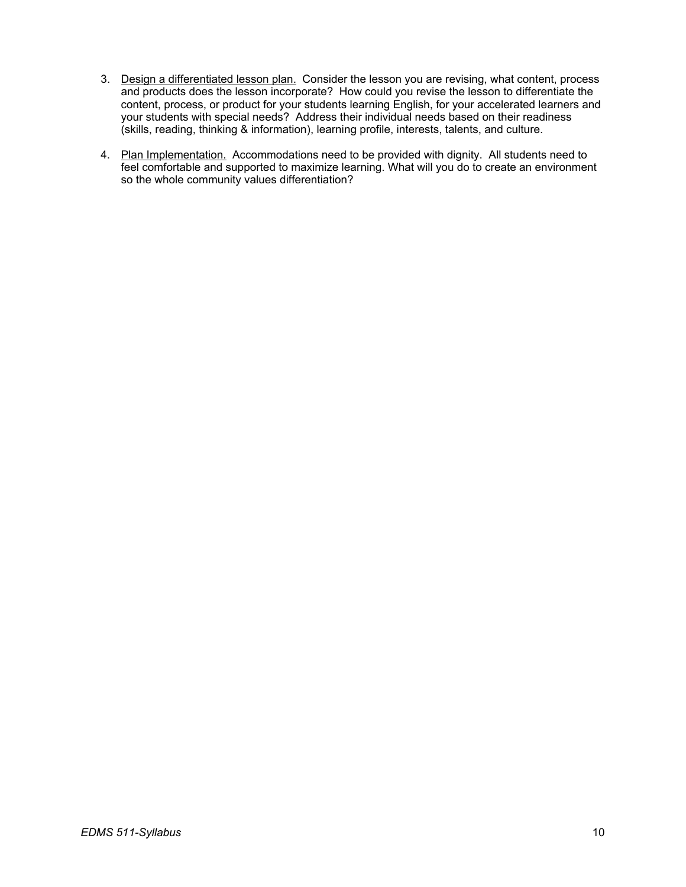- 3. Design a differentiated lesson plan. Consider the lesson you are revising, what content, process and products does the lesson incorporate? How could you revise the lesson to differentiate the content, process, or product for your students learning English, for your accelerated learners and your students with special needs? Address their individual needs based on their readiness (skills, reading, thinking & information), learning profile, interests, talents, and culture.
- 4. Plan Implementation. Accommodations need to be provided with dignity. All students need to feel comfortable and supported to maximize learning. What will you do to create an environment so the whole community values differentiation?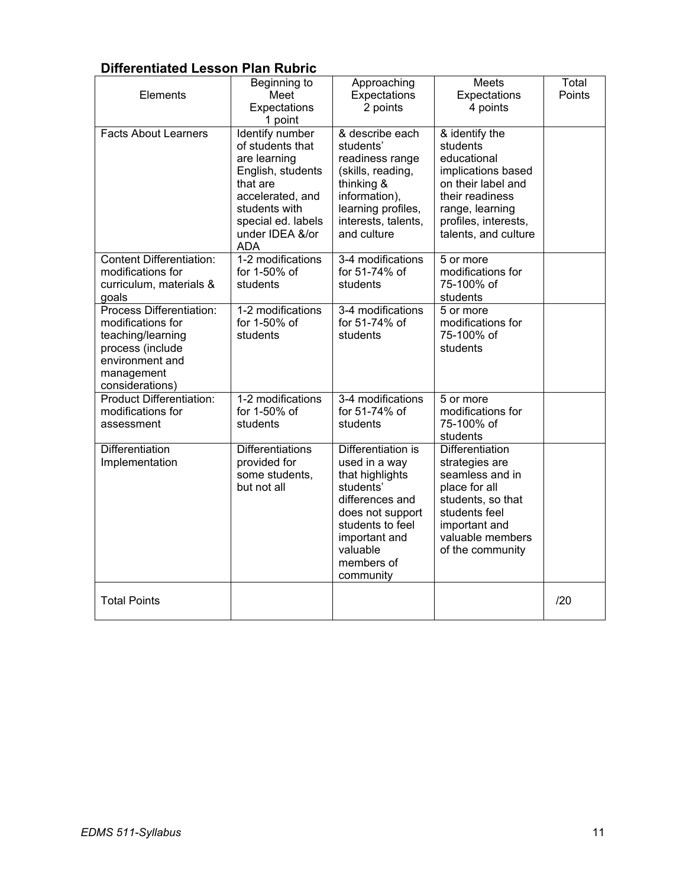# **Differentiated Lesson Plan Rubric**

| Elements                                                                                                                                   | Beginning to<br>Meet<br>Expectations<br>1 point                                                                                                                                         | Approaching<br>Expectations<br>2 points                                                                                                                                                | Meets<br>Expectations<br>4 points                                                                                                                                           | Total<br>Points |
|--------------------------------------------------------------------------------------------------------------------------------------------|-----------------------------------------------------------------------------------------------------------------------------------------------------------------------------------------|----------------------------------------------------------------------------------------------------------------------------------------------------------------------------------------|-----------------------------------------------------------------------------------------------------------------------------------------------------------------------------|-----------------|
| <b>Facts About Learners</b>                                                                                                                | <b>Identify number</b><br>of students that<br>are learning<br>English, students<br>that are<br>accelerated, and<br>students with<br>special ed. labels<br>under IDEA &/or<br><b>ADA</b> | & describe each<br>students'<br>readiness range<br>(skills, reading,<br>thinking &<br>information),<br>learning profiles,<br>interests, talents,<br>and culture                        | & identify the<br>students<br>educational<br>implications based<br>on their label and<br>their readiness<br>range, learning<br>profiles, interests,<br>talents, and culture |                 |
| <b>Content Differentiation:</b><br>modifications for<br>curriculum, materials &<br>goals                                                   | 1-2 modifications<br>for 1-50% of<br>students                                                                                                                                           | 3-4 modifications<br>for 51-74% of<br>students                                                                                                                                         | 5 or more<br>modifications for<br>75-100% of<br>students                                                                                                                    |                 |
| Process Differentiation:<br>modifications for<br>teaching/learning<br>process (include<br>environment and<br>management<br>considerations) | 1-2 modifications<br>for 1-50% of<br>students                                                                                                                                           | 3-4 modifications<br>for 51-74% of<br>students                                                                                                                                         | 5 or more<br>modifications for<br>75-100% of<br>students                                                                                                                    |                 |
| <b>Product Differentiation:</b><br>modifications for<br>assessment                                                                         | 1-2 modifications<br>for 1-50% of<br>students                                                                                                                                           | 3-4 modifications<br>for 51-74% of<br>students                                                                                                                                         | 5 or more<br>modifications for<br>75-100% of<br>students                                                                                                                    |                 |
| Differentiation<br>Implementation                                                                                                          | <b>Differentiations</b><br>provided for<br>some students,<br>but not all                                                                                                                | Differentiation is<br>used in a way<br>that highlights<br>students'<br>differences and<br>does not support<br>students to feel<br>important and<br>valuable<br>members of<br>community | Differentiation<br>strategies are<br>seamless and in<br>place for all<br>students, so that<br>students feel<br>important and<br>valuable members<br>of the community        |                 |
| <b>Total Points</b>                                                                                                                        |                                                                                                                                                                                         |                                                                                                                                                                                        |                                                                                                                                                                             | /20             |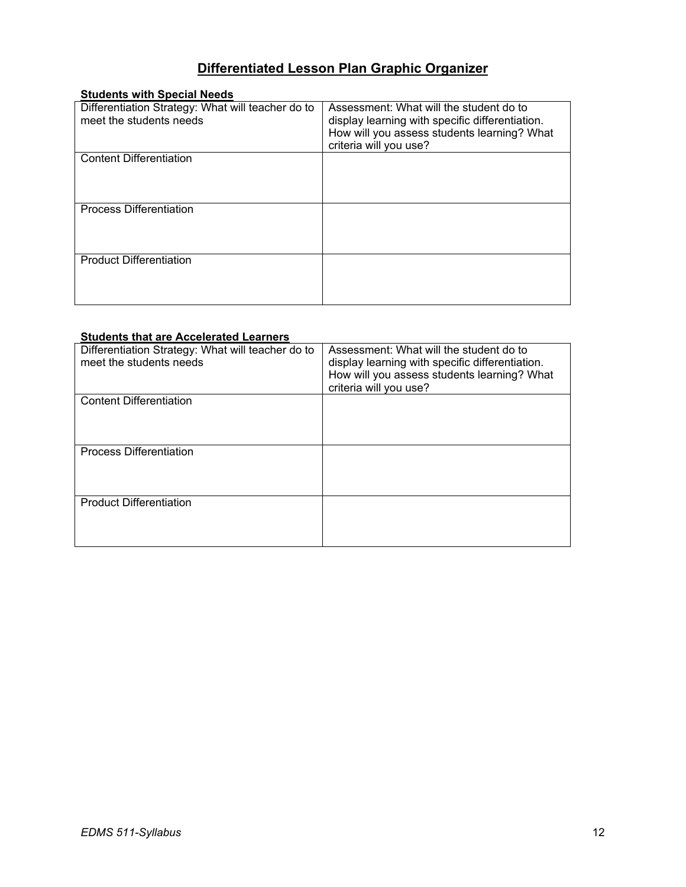# **Differentiated Lesson Plan Graphic Organizer**

| <b>Students with Special Needs</b>                |                                                 |
|---------------------------------------------------|-------------------------------------------------|
| Differentiation Strategy: What will teacher do to | Assessment: What will the student do to         |
| meet the students needs                           | display learning with specific differentiation. |
|                                                   | How will you assess students learning? What     |
|                                                   | criteria will you use?                          |
| <b>Content Differentiation</b>                    |                                                 |
|                                                   |                                                 |
|                                                   |                                                 |
|                                                   |                                                 |
| <b>Process Differentiation</b>                    |                                                 |
|                                                   |                                                 |
|                                                   |                                                 |
|                                                   |                                                 |
| <b>Product Differentiation</b>                    |                                                 |
|                                                   |                                                 |
|                                                   |                                                 |
|                                                   |                                                 |

### **Students that are Accelerated Learners**

| Differentiation Strategy: What will teacher do to<br>meet the students needs | Assessment: What will the student do to                                                        |
|------------------------------------------------------------------------------|------------------------------------------------------------------------------------------------|
|                                                                              | display learning with specific differentiation.<br>How will you assess students learning? What |
|                                                                              | criteria will you use?                                                                         |
| <b>Content Differentiation</b>                                               |                                                                                                |
|                                                                              |                                                                                                |
|                                                                              |                                                                                                |
| <b>Process Differentiation</b>                                               |                                                                                                |
|                                                                              |                                                                                                |
|                                                                              |                                                                                                |
| <b>Product Differentiation</b>                                               |                                                                                                |
|                                                                              |                                                                                                |
|                                                                              |                                                                                                |
|                                                                              |                                                                                                |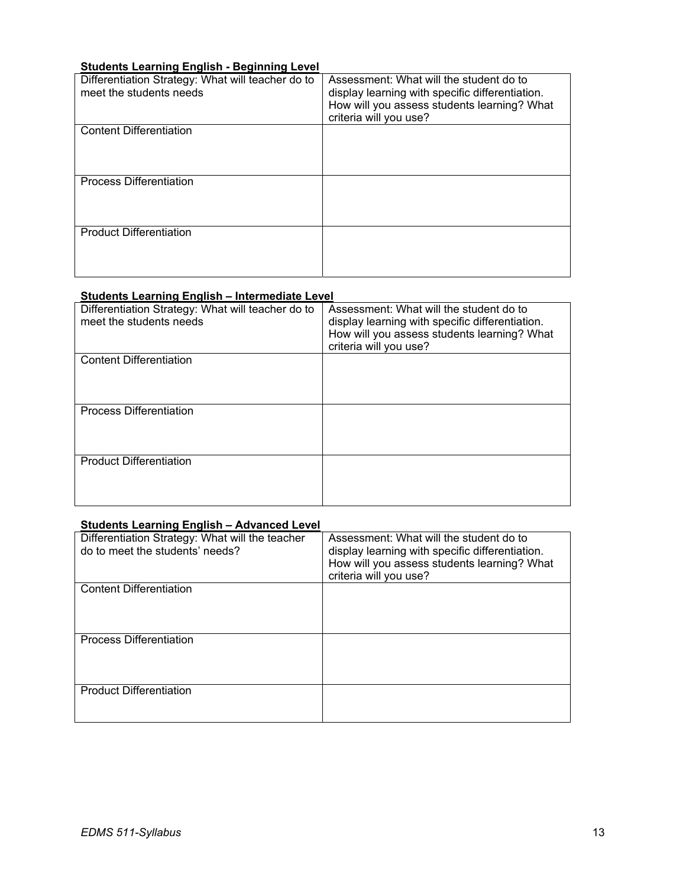## **Students Learning English - Beginning Level**

| Differentiation Strategy: What will teacher do to<br>meet the students needs | Assessment: What will the student do to<br>display learning with specific differentiation.<br>How will you assess students learning? What<br>criteria will you use? |
|------------------------------------------------------------------------------|---------------------------------------------------------------------------------------------------------------------------------------------------------------------|
| <b>Content Differentiation</b>                                               |                                                                                                                                                                     |
| <b>Process Differentiation</b>                                               |                                                                                                                                                                     |
| <b>Product Differentiation</b>                                               |                                                                                                                                                                     |

## **Students Learning English – Intermediate Level**

| Differentiation Strategy: What will teacher do to<br>meet the students needs | Assessment: What will the student do to<br>display learning with specific differentiation.<br>How will you assess students learning? What<br>criteria will you use? |
|------------------------------------------------------------------------------|---------------------------------------------------------------------------------------------------------------------------------------------------------------------|
| <b>Content Differentiation</b>                                               |                                                                                                                                                                     |
| <b>Process Differentiation</b>                                               |                                                                                                                                                                     |
| <b>Product Differentiation</b>                                               |                                                                                                                                                                     |

## **Students Learning English – Advanced Level**

| Differentiation Strategy: What will the teacher<br>do to meet the students' needs? | Assessment: What will the student do to<br>display learning with specific differentiation.<br>How will you assess students learning? What<br>criteria will you use? |
|------------------------------------------------------------------------------------|---------------------------------------------------------------------------------------------------------------------------------------------------------------------|
| <b>Content Differentiation</b>                                                     |                                                                                                                                                                     |
| <b>Process Differentiation</b>                                                     |                                                                                                                                                                     |
| <b>Product Differentiation</b>                                                     |                                                                                                                                                                     |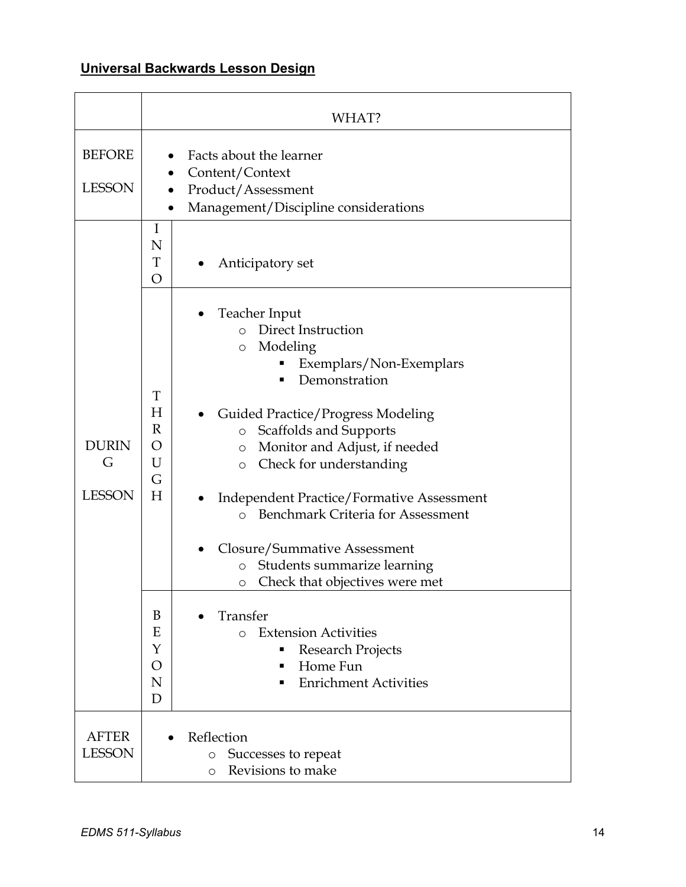# **Universal Backwards Lesson Design**

|                                    | WHAT?                                                                                                                                                                                                                                                                                                                                                                                                                                                                                                                                                                                                                                                                                                               |
|------------------------------------|---------------------------------------------------------------------------------------------------------------------------------------------------------------------------------------------------------------------------------------------------------------------------------------------------------------------------------------------------------------------------------------------------------------------------------------------------------------------------------------------------------------------------------------------------------------------------------------------------------------------------------------------------------------------------------------------------------------------|
| <b>BEFORE</b><br><b>LESSON</b>     | Facts about the learner<br>Content/Context<br>Product/Assessment<br>Management/Discipline considerations                                                                                                                                                                                                                                                                                                                                                                                                                                                                                                                                                                                                            |
|                                    | I<br>N<br>T<br>Anticipatory set<br>O                                                                                                                                                                                                                                                                                                                                                                                                                                                                                                                                                                                                                                                                                |
| <b>DURIN</b><br>G<br><b>LESSON</b> | Teacher Input<br>Direct Instruction<br>$\Omega$<br>Modeling<br>$\circ$<br>Exemplars/Non-Exemplars<br>Demonstration<br>T<br>H<br>Guided Practice/Progress Modeling<br>$\mathbb R$<br>Scaffolds and Supports<br>$\bigcirc$<br>O<br>Monitor and Adjust, if needed<br>O<br>U<br>Check for understanding<br>O<br>G<br>H<br><b>Independent Practice/Formative Assessment</b><br><b>Benchmark Criteria for Assessment</b><br>$\circ$<br>Closure/Summative Assessment<br>Students summarize learning<br>$\bigcirc$<br>Check that objectives were met<br>O<br>B<br>Transfer<br>E<br><b>Extension Activities</b><br>$\bigcirc$<br>Y<br>Research Projects<br>■<br>Home Fun<br>O<br>■<br>N<br><b>Enrichment Activities</b><br>D |
| AFTER<br><b>LESSON</b>             | Reflection<br>Successes to repeat<br>$\circ$<br>Revisions to make<br>$\circ$                                                                                                                                                                                                                                                                                                                                                                                                                                                                                                                                                                                                                                        |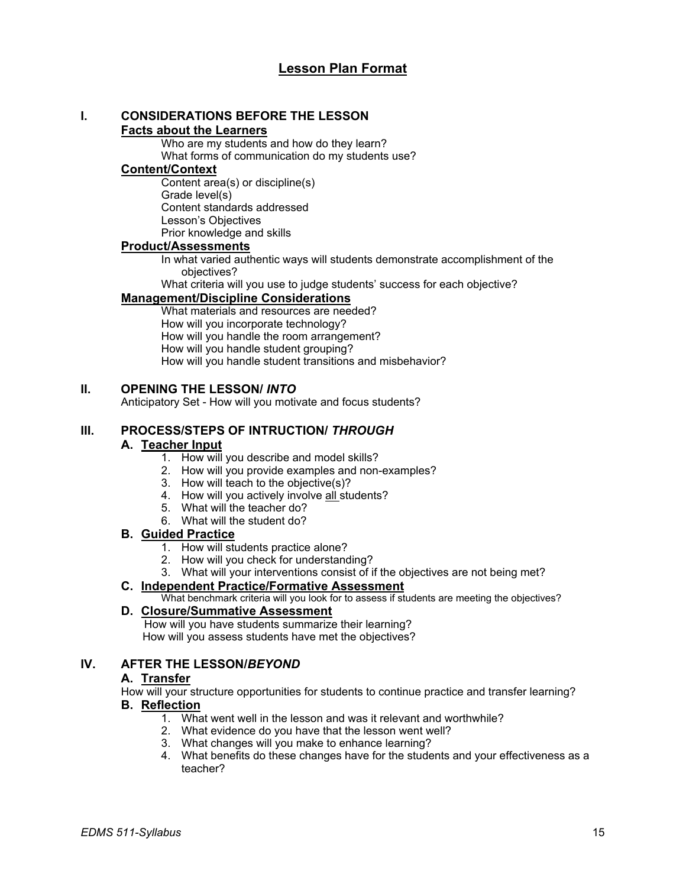# **Lesson Plan Format**

#### **I. CONSIDERATIONS BEFORE THE LESSON Facts about the Learners**

Who are my students and how do they learn? What forms of communication do my students use?

## **Content/Context**

Content area(s) or discipline(s) Grade level(s) Content standards addressed Lesson's Objectives Prior knowledge and skills

## **Product/Assessments**

In what varied authentic ways will students demonstrate accomplishment of the objectives?

What criteria will you use to judge students' success for each objective?

## **Management/Discipline Considerations**

What materials and resources are needed? How will you incorporate technology? How will you handle the room arrangement? How will you handle student grouping? How will you handle student transitions and misbehavior?

## **II. OPENING THE LESSON/** *INTO*

Anticipatory Set - How will you motivate and focus students?

## **III. PROCESS/STEPS OF INTRUCTION/** *THROUGH*

## **A. Teacher Input**

- 1. How will you describe and model skills?
- 2. How will you provide examples and non-examples?
- 3. How will teach to the objective(s)?
- 4. How will you actively involve all students?
- 5. What will the teacher do?
- 6. What will the student do?

## **B. Guided Practice**

- 1. How will students practice alone?
- 2. How will you check for understanding?
- 3. What will your interventions consist of if the objectives are not being met?

#### **C. Independent Practice/Formative Assessment**

What benchmark criteria will you look for to assess if students are meeting the objectives?

## **D. Closure/Summative Assessment**

 How will you have students summarize their learning? How will you assess students have met the objectives?

## **IV. AFTER THE LESSON/***BEYOND*

#### **A. Transfer**

How will your structure opportunities for students to continue practice and transfer learning?

## **B. Reflection**

- 1. What went well in the lesson and was it relevant and worthwhile?
- 2. What evidence do you have that the lesson went well?
- 3. What changes will you make to enhance learning?
- 4. What benefits do these changes have for the students and your effectiveness as a teacher?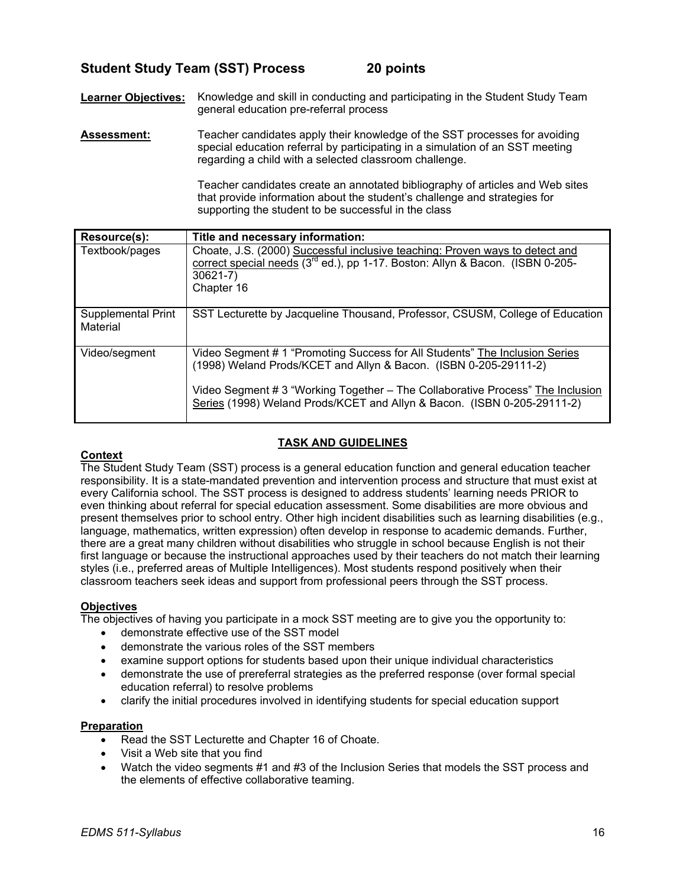# **Student Study Team (SST) Process 20 points**

**Learner Objectives:** Knowledge and skill in conducting and participating in the Student Study Team general education pre-referral process

**Assessment:** Teacher candidates apply their knowledge of the SST processes for avoiding special education referral by participating in a simulation of an SST meeting regarding a child with a selected classroom challenge.

> Teacher candidates create an annotated bibliography of articles and Web sites that provide information about the student's challenge and strategies for supporting the student to be successful in the class

| Resource(s):                   | Title and necessary information:                                                                                                                                                                                                                                                                             |
|--------------------------------|--------------------------------------------------------------------------------------------------------------------------------------------------------------------------------------------------------------------------------------------------------------------------------------------------------------|
| Textbook/pages                 | Choate, J.S. (2000) Successful inclusive teaching: Proven ways to detect and<br>correct special needs (3 <sup>rd</sup> ed.), pp 1-17. Boston: Allyn & Bacon. (ISBN 0-205-<br>$30621 - 7$ )<br>Chapter 16                                                                                                     |
| Supplemental Print<br>Material | SST Lecturette by Jacqueline Thousand, Professor, CSUSM, College of Education                                                                                                                                                                                                                                |
| Video/segment                  | Video Segment # 1 "Promoting Success for All Students" The Inclusion Series<br>(1998) Weland Prods/KCET and Allyn & Bacon. (ISBN 0-205-29111-2)<br>Video Segment # 3 "Working Together – The Collaborative Process" The Inclusion<br>Series (1998) Weland Prods/KCET and Allyn & Bacon. (ISBN 0-205-29111-2) |

## **TASK AND GUIDELINES**

## **Context**

The Student Study Team (SST) process is a general education function and general education teacher responsibility. It is a state-mandated prevention and intervention process and structure that must exist at every California school. The SST process is designed to address students' learning needs PRIOR to even thinking about referral for special education assessment. Some disabilities are more obvious and present themselves prior to school entry. Other high incident disabilities such as learning disabilities (e.g., language, mathematics, written expression) often develop in response to academic demands. Further, there are a great many children without disabilities who struggle in school because English is not their first language or because the instructional approaches used by their teachers do not match their learning styles (i.e., preferred areas of Multiple Intelligences). Most students respond positively when their classroom teachers seek ideas and support from professional peers through the SST process.

## **Objectives**

The objectives of having you participate in a mock SST meeting are to give you the opportunity to:

- demonstrate effective use of the SST model
- demonstrate the various roles of the SST members
- examine support options for students based upon their unique individual characteristics
- demonstrate the use of prereferral strategies as the preferred response (over formal special education referral) to resolve problems
- clarify the initial procedures involved in identifying students for special education support

## **Preparation**

- Read the SST Lecturette and Chapter 16 of Choate.
- Visit a Web site that you find
- Watch the video segments #1 and #3 of the Inclusion Series that models the SST process and the elements of effective collaborative teaming.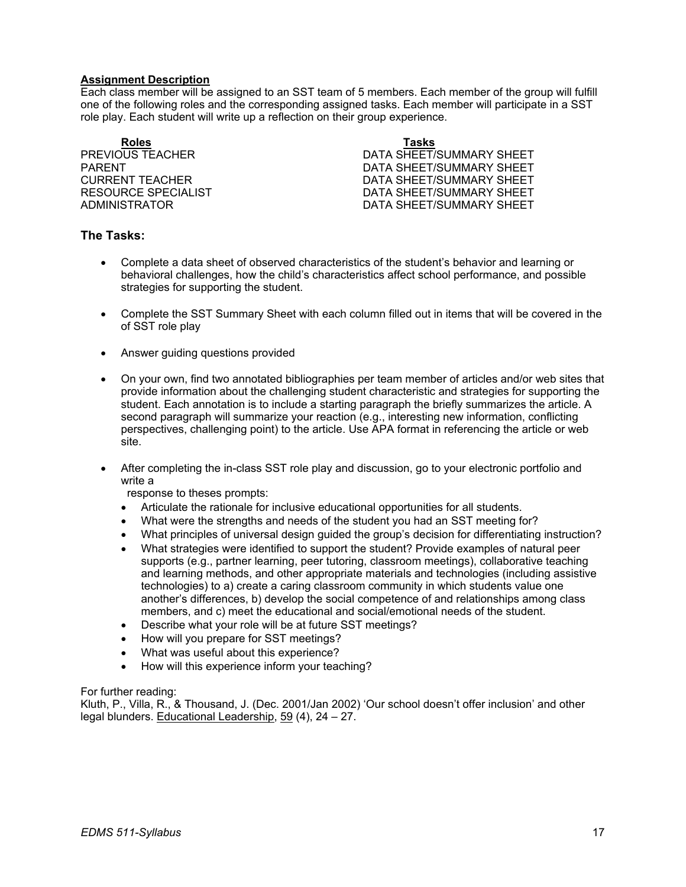### **Assignment Description**

Each class member will be assigned to an SST team of 5 members. Each member of the group will fulfill one of the following roles and the corresponding assigned tasks. Each member will participate in a SST role play. Each student will write up a reflection on their group experience.

**Roles Tasks**

**PREVIOUS TEACHER CONTROLLER CONTROLLER BUT A DATA SHEET/SUMMARY SHEET** PARENT **DATA SHEET/SUMMARY SHEET** CURRENT TEACHER DATA SHEET/SUMMARY SHEET RESOURCE SPECIALIST **EXECUTE:** THE DATA SHEET/SUMMARY SHEET ADMINISTRATOR DATA SHEET/SUMMARY SHEET

## **The Tasks:**

- Complete a data sheet of observed characteristics of the student's behavior and learning or behavioral challenges, how the child's characteristics affect school performance, and possible strategies for supporting the student.
- Complete the SST Summary Sheet with each column filled out in items that will be covered in the of SST role play
- Answer guiding questions provided
- On your own, find two annotated bibliographies per team member of articles and/or web sites that provide information about the challenging student characteristic and strategies for supporting the student. Each annotation is to include a starting paragraph the briefly summarizes the article. A second paragraph will summarize your reaction (e.g., interesting new information, conflicting perspectives, challenging point) to the article. Use APA format in referencing the article or web site.
- After completing the in-class SST role play and discussion, go to your electronic portfolio and write a

response to theses prompts:

- Articulate the rationale for inclusive educational opportunities for all students.
- What were the strengths and needs of the student you had an SST meeting for?
- What principles of universal design guided the group's decision for differentiating instruction?
- What strategies were identified to support the student? Provide examples of natural peer supports (e.g., partner learning, peer tutoring, classroom meetings), collaborative teaching and learning methods, and other appropriate materials and technologies (including assistive technologies) to a) create a caring classroom community in which students value one another's differences, b) develop the social competence of and relationships among class members, and c) meet the educational and social/emotional needs of the student.
- Describe what your role will be at future SST meetings?
- How will you prepare for SST meetings?
- What was useful about this experience?
- How will this experience inform your teaching?

For further reading:

Kluth, P., Villa, R., & Thousand, J. (Dec. 2001/Jan 2002) 'Our school doesn't offer inclusion' and other legal blunders. Educational Leadership, 59 (4), 24 – 27.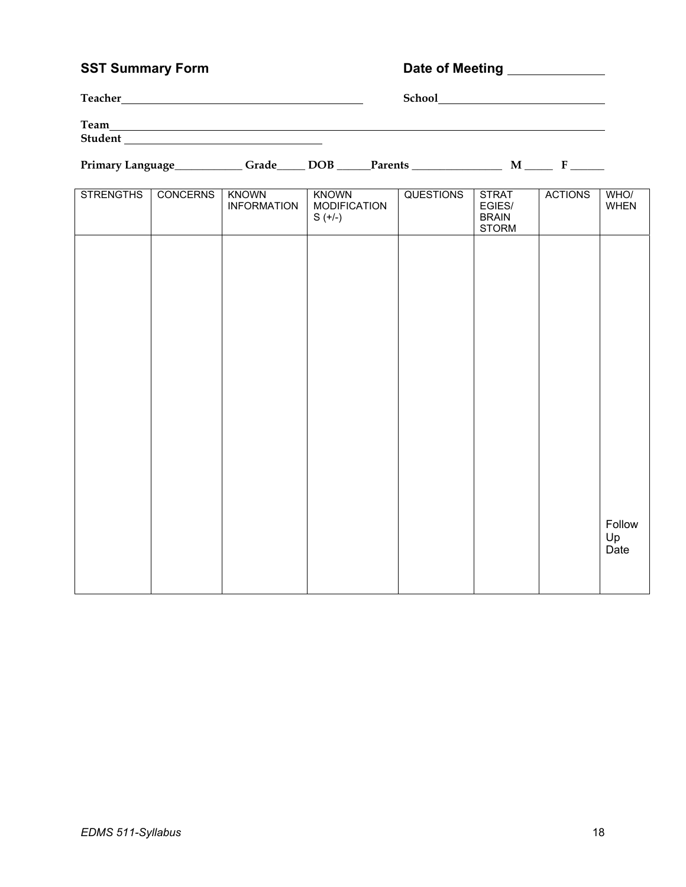# **SST Summary Form Community Community Property Community Date of Meeting Community Community Community Community**

| <b>Teacher</b> | <b>School</b> |
|----------------|---------------|
| Team           |               |
| <b>Student</b> |               |

**Primary Language\_\_\_\_\_\_\_\_\_\_\_\_ Grade\_\_\_\_\_ DOB \_\_\_\_\_\_Parents \_\_\_\_\_\_\_\_\_\_\_\_\_\_\_\_ M \_\_\_\_\_ F** \_\_\_\_\_\_

| <b>STRENGTHS</b> | <b>CONCERNS</b> | <b>KNOWN</b><br><b>INFORMATION</b> | <b>KNOWN</b><br><b>MODIFICATION</b><br>$S (+/-)$ | <b>QUESTIONS</b> | <b>STRAT</b><br>EGIES/<br><b>BRAIN</b><br><b>STORM</b> | <b>ACTIONS</b> | WHO/<br>WHEN         |
|------------------|-----------------|------------------------------------|--------------------------------------------------|------------------|--------------------------------------------------------|----------------|----------------------|
|                  |                 |                                    |                                                  |                  |                                                        |                |                      |
|                  |                 |                                    |                                                  |                  |                                                        |                |                      |
|                  |                 |                                    |                                                  |                  |                                                        |                |                      |
|                  |                 |                                    |                                                  |                  |                                                        |                |                      |
|                  |                 |                                    |                                                  |                  |                                                        |                |                      |
|                  |                 |                                    |                                                  |                  |                                                        |                |                      |
|                  |                 |                                    |                                                  |                  |                                                        |                | Follow<br>Up<br>Date |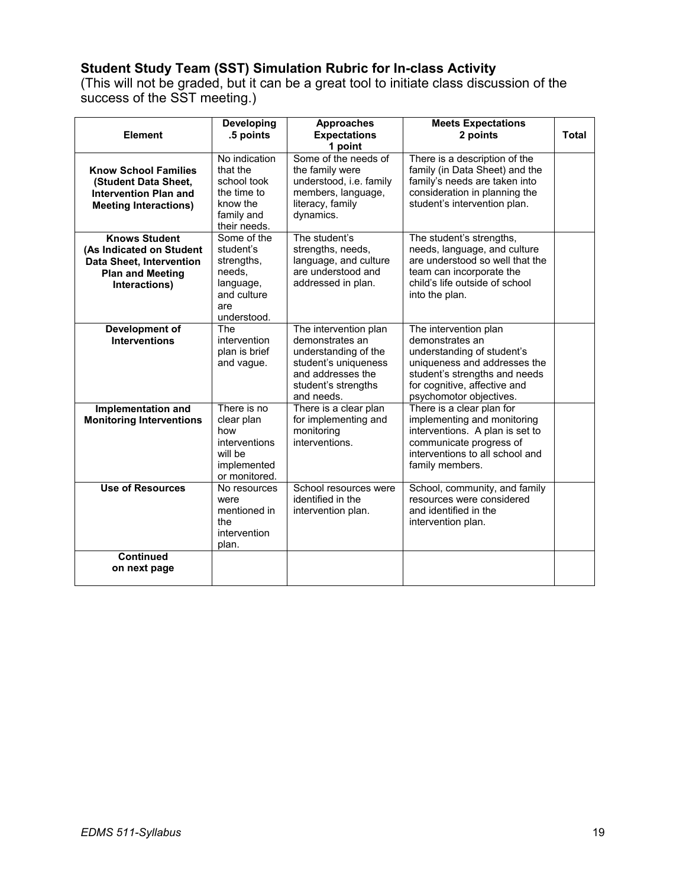# **Student Study Team (SST) Simulation Rubric for In-class Activity**

(This will not be graded, but it can be a great tool to initiate class discussion of the success of the SST meeting.)

| <b>Element</b>                                                                                                                  | <b>Developing</b><br>.5 points                                                                     | <b>Approaches</b><br><b>Expectations</b><br>1 point                                                                                                | <b>Meets Expectations</b><br>2 points                                                                                                                                                              | <b>Total</b> |
|---------------------------------------------------------------------------------------------------------------------------------|----------------------------------------------------------------------------------------------------|----------------------------------------------------------------------------------------------------------------------------------------------------|----------------------------------------------------------------------------------------------------------------------------------------------------------------------------------------------------|--------------|
| <b>Know School Families</b><br>(Student Data Sheet,<br><b>Intervention Plan and</b><br><b>Meeting Interactions)</b>             | No indication<br>that the<br>school took<br>the time to<br>know the<br>family and<br>their needs.  | Some of the needs of<br>the family were<br>understood, i.e. family<br>members, language,<br>literacy, family<br>dynamics.                          | There is a description of the<br>family (in Data Sheet) and the<br>family's needs are taken into<br>consideration in planning the<br>student's intervention plan.                                  |              |
| <b>Knows Student</b><br>(As Indicated on Student<br><b>Data Sheet, Intervention</b><br><b>Plan and Meeting</b><br>Interactions) | Some of the<br>student's<br>strengths,<br>needs,<br>language,<br>and culture<br>are<br>understood. | The student's<br>strengths, needs,<br>language, and culture<br>are understood and<br>addressed in plan.                                            | The student's strengths,<br>needs, language, and culture<br>are understood so well that the<br>team can incorporate the<br>child's life outside of school<br>into the plan.                        |              |
| <b>Development of</b><br><b>Interventions</b>                                                                                   | The<br>intervention<br>plan is brief<br>and vague.                                                 | The intervention plan<br>demonstrates an<br>understanding of the<br>student's uniqueness<br>and addresses the<br>student's strengths<br>and needs. | The intervention plan<br>demonstrates an<br>understanding of student's<br>uniqueness and addresses the<br>student's strengths and needs<br>for cognitive, affective and<br>psychomotor objectives. |              |
| Implementation and<br><b>Monitoring Interventions</b>                                                                           | There is no<br>clear plan<br>how<br>interventions<br>will be<br>implemented<br>or monitored.       | There is a clear plan<br>for implementing and<br>monitoring<br>interventions.                                                                      | There is a clear plan for<br>implementing and monitoring<br>interventions. A plan is set to<br>communicate progress of<br>interventions to all school and<br>family members.                       |              |
| <b>Use of Resources</b>                                                                                                         | No resources<br>were<br>mentioned in<br>the<br>intervention<br>plan.                               | School resources were<br>identified in the<br>intervention plan.                                                                                   | School, community, and family<br>resources were considered<br>and identified in the<br>intervention plan.                                                                                          |              |
| <b>Continued</b><br>on next page                                                                                                |                                                                                                    |                                                                                                                                                    |                                                                                                                                                                                                    |              |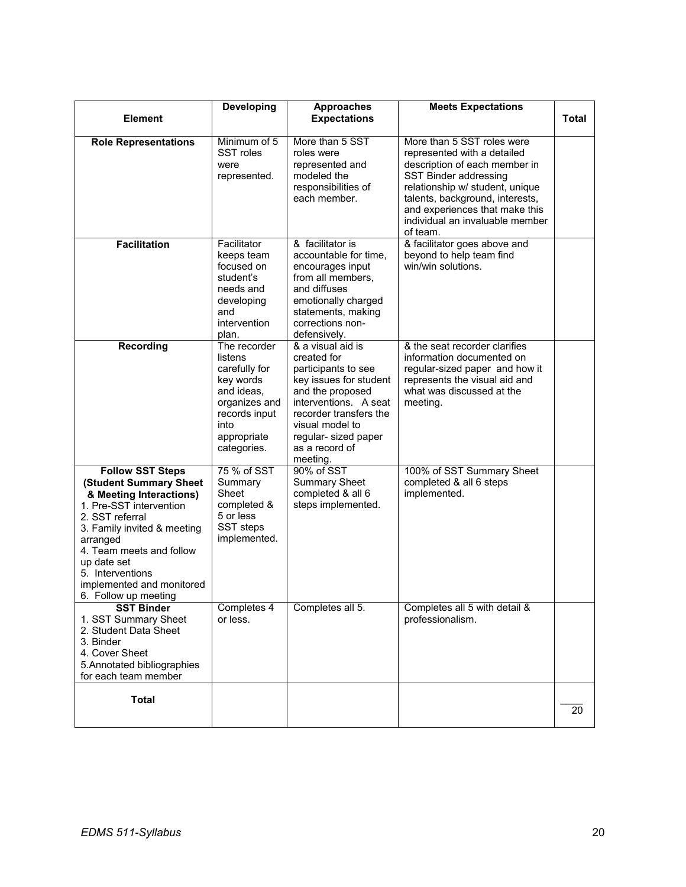|                                                                                                                                                                                                                                                                                           | Developing                                                                                                                                  | <b>Approaches</b>                                                                                                                                                                                                                 | <b>Meets Expectations</b>                                                                                                                                                                                                                                                  |       |
|-------------------------------------------------------------------------------------------------------------------------------------------------------------------------------------------------------------------------------------------------------------------------------------------|---------------------------------------------------------------------------------------------------------------------------------------------|-----------------------------------------------------------------------------------------------------------------------------------------------------------------------------------------------------------------------------------|----------------------------------------------------------------------------------------------------------------------------------------------------------------------------------------------------------------------------------------------------------------------------|-------|
| <b>Element</b>                                                                                                                                                                                                                                                                            |                                                                                                                                             | <b>Expectations</b>                                                                                                                                                                                                               |                                                                                                                                                                                                                                                                            | Total |
| <b>Role Representations</b>                                                                                                                                                                                                                                                               | Minimum of 5<br>SST roles<br>were<br>represented.                                                                                           | More than 5 SST<br>roles were<br>represented and<br>modeled the<br>responsibilities of<br>each member.                                                                                                                            | More than 5 SST roles were<br>represented with a detailed<br>description of each member in<br>SST Binder addressing<br>relationship w/ student, unique<br>talents, background, interests,<br>and experiences that make this<br>individual an invaluable member<br>of team. |       |
| <b>Facilitation</b>                                                                                                                                                                                                                                                                       | Facilitator<br>keeps team<br>focused on<br>student's<br>needs and<br>developing<br>and<br>intervention<br>plan.                             | & facilitator is<br>accountable for time,<br>encourages input<br>from all members,<br>and diffuses<br>emotionally charged<br>statements, making<br>corrections non-<br>defensively.                                               | & facilitator goes above and<br>beyond to help team find<br>win/win solutions.                                                                                                                                                                                             |       |
| <b>Recording</b>                                                                                                                                                                                                                                                                          | The recorder<br>listens<br>carefully for<br>key words<br>and ideas.<br>organizes and<br>records input<br>into<br>appropriate<br>categories. | & a visual aid is<br>created for<br>participants to see<br>key issues for student<br>and the proposed<br>interventions. A seat<br>recorder transfers the<br>visual model to<br>regular- sized paper<br>as a record of<br>meeting. | & the seat recorder clarifies<br>information documented on<br>regular-sized paper and how it<br>represents the visual aid and<br>what was discussed at the<br>meeting.                                                                                                     |       |
| <b>Follow SST Steps</b><br>(Student Summary Sheet<br>& Meeting Interactions)<br>1. Pre-SST intervention<br>2. SST referral<br>3. Family invited & meeting<br>arranged<br>4. Team meets and follow<br>up date set<br>5. Interventions<br>implemented and monitored<br>6. Follow up meeting | 75 % of SST<br>Summary<br>Sheet<br>completed &<br>5 or less<br>SST steps<br>implemented.                                                    | 90% of SST<br><b>Summary Sheet</b><br>completed & all 6<br>steps implemented.                                                                                                                                                     | 100% of SST Summary Sheet<br>completed & all 6 steps<br>implemented.                                                                                                                                                                                                       |       |
| <b>SST Binder</b><br>1. SST Summary Sheet<br>2. Student Data Sheet<br>3. Binder<br>4. Cover Sheet<br>5. Annotated bibliographies<br>for each team member                                                                                                                                  | Completes 4<br>or less.                                                                                                                     | Completes all 5.                                                                                                                                                                                                                  | Completes all 5 with detail &<br>professionalism.                                                                                                                                                                                                                          |       |
| <b>Total</b>                                                                                                                                                                                                                                                                              |                                                                                                                                             |                                                                                                                                                                                                                                   |                                                                                                                                                                                                                                                                            | 20    |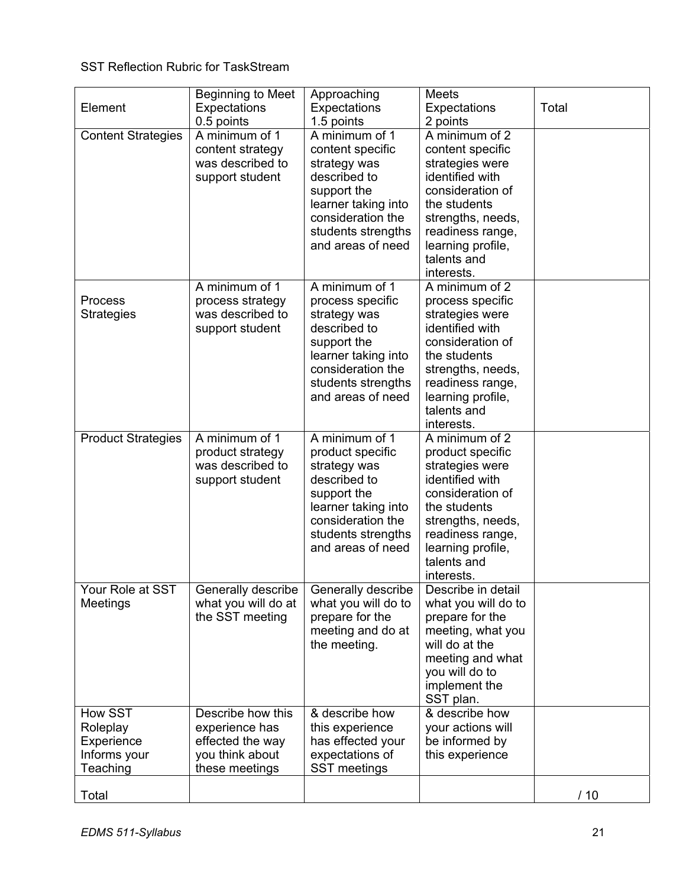# SST Reflection Rubric for TaskStream

| Element                                                              | <b>Beginning to Meet</b><br>Expectations<br>0.5 points                                       | Approaching<br>Expectations<br>1.5 points                                                                                                                                | <b>Meets</b><br>Expectations<br>2 points                                                                                                                                                                | Total |
|----------------------------------------------------------------------|----------------------------------------------------------------------------------------------|--------------------------------------------------------------------------------------------------------------------------------------------------------------------------|---------------------------------------------------------------------------------------------------------------------------------------------------------------------------------------------------------|-------|
| <b>Content Strategies</b>                                            | A minimum of 1<br>content strategy<br>was described to<br>support student                    | A minimum of 1<br>content specific<br>strategy was<br>described to<br>support the<br>learner taking into<br>consideration the<br>students strengths<br>and areas of need | A minimum of 2<br>content specific<br>strategies were<br>identified with<br>consideration of<br>the students<br>strengths, needs,<br>readiness range,<br>learning profile,<br>talents and<br>interests. |       |
| Process<br><b>Strategies</b>                                         | A minimum of 1<br>process strategy<br>was described to<br>support student                    | A minimum of 1<br>process specific<br>strategy was<br>described to<br>support the<br>learner taking into<br>consideration the<br>students strengths<br>and areas of need | A minimum of 2<br>process specific<br>strategies were<br>identified with<br>consideration of<br>the students<br>strengths, needs,<br>readiness range,<br>learning profile,<br>talents and<br>interests. |       |
| <b>Product Strategies</b>                                            | A minimum of 1<br>product strategy<br>was described to<br>support student                    | A minimum of 1<br>product specific<br>strategy was<br>described to<br>support the<br>learner taking into<br>consideration the<br>students strengths<br>and areas of need | A minimum of 2<br>product specific<br>strategies were<br>identified with<br>consideration of<br>the students<br>strengths, needs,<br>readiness range,<br>learning profile,<br>talents and<br>interests. |       |
| Your Role at SST<br>Meetings                                         | Generally describe<br>what you will do at<br>the SST meeting                                 | Generally describe<br>what you will do to<br>prepare for the<br>meeting and do at<br>the meeting.                                                                        | Describe in detail<br>what you will do to<br>prepare for the<br>meeting, what you<br>will do at the<br>meeting and what<br>you will do to<br>implement the<br>SST plan.                                 |       |
| <b>How SST</b><br>Roleplay<br>Experience<br>Informs your<br>Teaching | Describe how this<br>experience has<br>effected the way<br>you think about<br>these meetings | & describe how<br>this experience<br>has effected your<br>expectations of<br>SST meetings                                                                                | & describe how<br>your actions will<br>be informed by<br>this experience                                                                                                                                |       |
| Total                                                                |                                                                                              |                                                                                                                                                                          |                                                                                                                                                                                                         | /10   |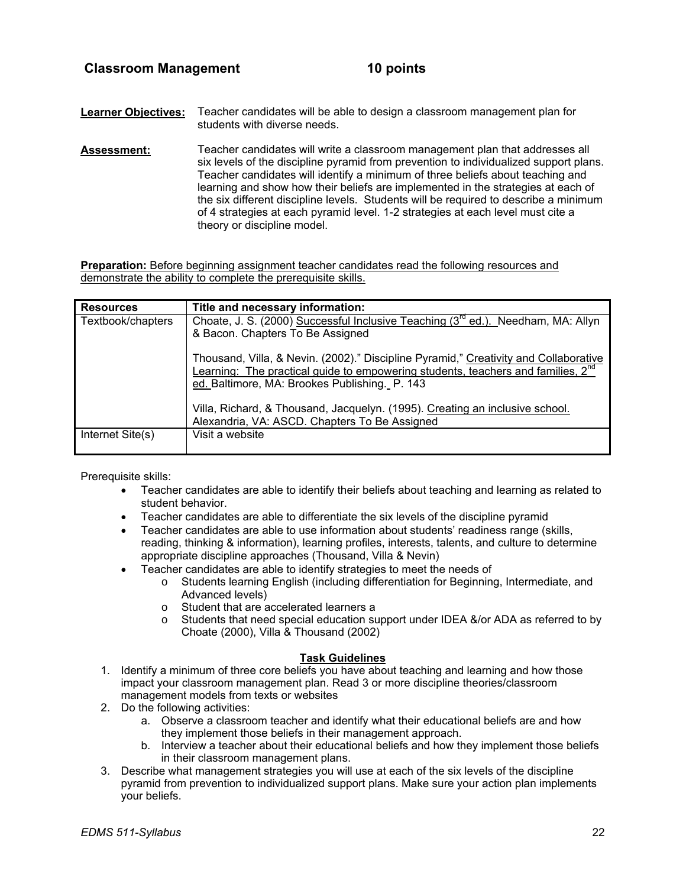- **Learner Objectives:** Teacher candidates will be able to design a classroom management plan for students with diverse needs.
- **Assessment:** Teacher candidates will write a classroom management plan that addresses all six levels of the discipline pyramid from prevention to individualized support plans. Teacher candidates will identify a minimum of three beliefs about teaching and learning and show how their beliefs are implemented in the strategies at each of the six different discipline levels. Students will be required to describe a minimum of 4 strategies at each pyramid level. 1-2 strategies at each level must cite a theory or discipline model.

**Preparation:** Before beginning assignment teacher candidates read the following resources and demonstrate the ability to complete the prerequisite skills.

| <b>Resources</b>  | Title and necessary information:                                                                                                                                                                                                      |
|-------------------|---------------------------------------------------------------------------------------------------------------------------------------------------------------------------------------------------------------------------------------|
| Textbook/chapters | Choate, J. S. (2000) Successful Inclusive Teaching (3rd ed.). Needham, MA: Allyn<br>& Bacon. Chapters To Be Assigned                                                                                                                  |
|                   | Thousand, Villa, & Nevin. (2002)." Discipline Pyramid," Creativity and Collaborative<br>Learning: The practical guide to empowering students, teachers and families, 2 <sup>nd</sup><br>ed. Baltimore, MA: Brookes Publishing. P. 143 |
|                   | Villa, Richard, & Thousand, Jacquelyn. (1995). Creating an inclusive school.<br>Alexandria, VA: ASCD. Chapters To Be Assigned                                                                                                         |
| Internet Site(s)  | Visit a website                                                                                                                                                                                                                       |

Prerequisite skills:

- Teacher candidates are able to identify their beliefs about teaching and learning as related to student behavior.
- Teacher candidates are able to differentiate the six levels of the discipline pyramid
- Teacher candidates are able to use information about students' readiness range (skills, reading, thinking & information), learning profiles, interests, talents, and culture to determine appropriate discipline approaches (Thousand, Villa & Nevin)
- Teacher candidates are able to identify strategies to meet the needs of
	- o Students learning English (including differentiation for Beginning, Intermediate, and Advanced levels)
		- o Student that are accelerated learners a<br>
		o Students that need special education su
		- Students that need special education support under IDEA &/or ADA as referred to by Choate (2000), Villa & Thousand (2002)

#### **Task Guidelines**

- 1. Identify a minimum of three core beliefs you have about teaching and learning and how those impact your classroom management plan. Read 3 or more discipline theories/classroom management models from texts or websites
- 2. Do the following activities:
	- a. Observe a classroom teacher and identify what their educational beliefs are and how they implement those beliefs in their management approach.
	- b. Interview a teacher about their educational beliefs and how they implement those beliefs in their classroom management plans.
- 3. Describe what management strategies you will use at each of the six levels of the discipline pyramid from prevention to individualized support plans. Make sure your action plan implements your beliefs.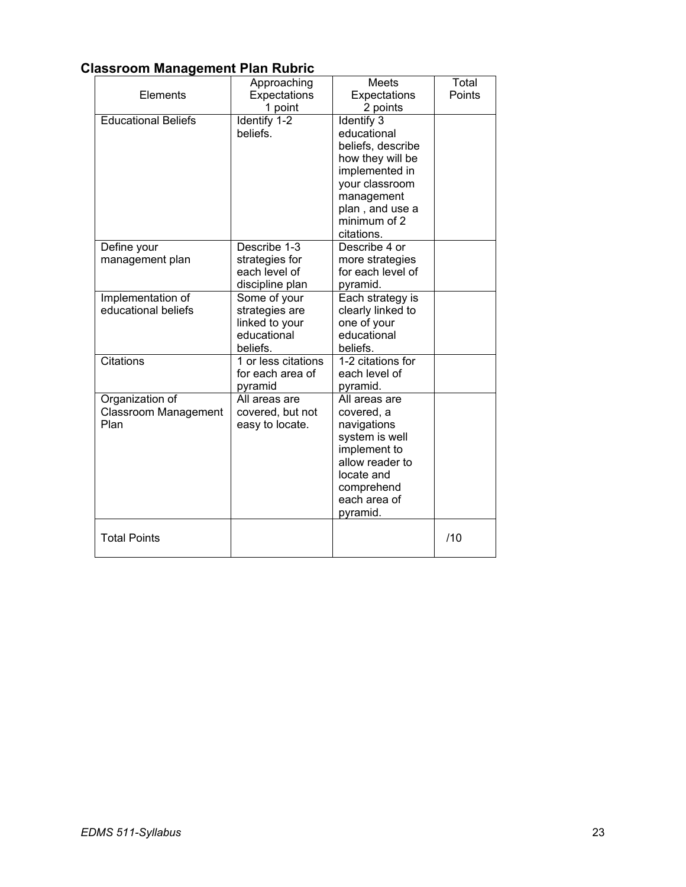# **Classroom Management Plan Rubric**

|                                                        | Approaching                                                                 | Meets                                                                                                                                                                 | Total  |
|--------------------------------------------------------|-----------------------------------------------------------------------------|-----------------------------------------------------------------------------------------------------------------------------------------------------------------------|--------|
| Elements                                               | Expectations                                                                | Expectations                                                                                                                                                          | Points |
|                                                        | 1 point                                                                     | 2 points                                                                                                                                                              |        |
| <b>Educational Beliefs</b>                             | Identify 1-2<br>beliefs.                                                    | Identify 3<br>educational<br>beliefs, describe<br>how they will be<br>implemented in<br>your classroom<br>management<br>plan, and use a<br>minimum of 2<br>citations. |        |
| Define your<br>management plan                         | Describe 1-3<br>strategies for<br>each level of<br>discipline plan          | Describe 4 or<br>more strategies<br>for each level of<br>pyramid.                                                                                                     |        |
| Implementation of<br>educational beliefs               | Some of your<br>strategies are<br>linked to your<br>educational<br>beliefs. | Each strategy is<br>clearly linked to<br>one of your<br>educational<br>beliefs.                                                                                       |        |
| <b>Citations</b>                                       | 1 or less citations<br>for each area of<br>pyramid                          | 1-2 citations for<br>each level of<br>pyramid.                                                                                                                        |        |
| Organization of<br><b>Classroom Management</b><br>Plan | All areas are<br>covered, but not<br>easy to locate.                        | All areas are<br>covered, a<br>navigations<br>system is well<br>implement to<br>allow reader to<br>locate and<br>comprehend<br>each area of<br>pyramid.               |        |
| <b>Total Points</b>                                    |                                                                             |                                                                                                                                                                       | /10    |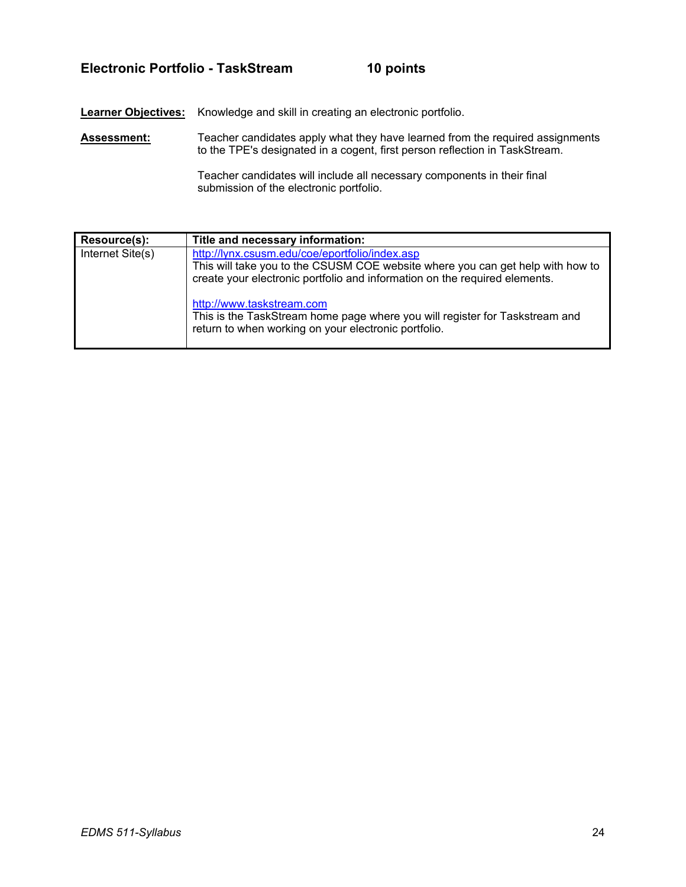## **Electronic Portfolio - TaskStream 10 points**

**Learner Objectives:** Knowledge and skill in creating an electronic portfolio.

**Assessment:** Teacher candidates apply what they have learned from the required assignments to the TPE's designated in a cogent, first person reflection in TaskStream.

> Teacher candidates will include all necessary components in their final submission of the electronic portfolio.

| Resource(s):     | Title and necessary information:                                                                                                                                                                               |
|------------------|----------------------------------------------------------------------------------------------------------------------------------------------------------------------------------------------------------------|
| Internet Site(s) | http://lynx.csusm.edu/coe/eportfolio/index.asp<br>This will take you to the CSUSM COE website where you can get help with how to<br>create your electronic portfolio and information on the required elements. |
|                  | http://www.taskstream.com<br>This is the TaskStream home page where you will register for Taskstream and<br>return to when working on your electronic portfolio.                                               |